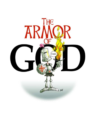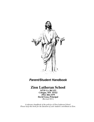

# *Parent/Student Handbook*

# **Zion Lutheran School**

**14735 Co. Rd 153 Cologne, MN 55322 (952) 466-3379 David Gosa, Principal** (Revised 2011)

*A reference handbook of the policies of Zion Lutheran School. Please keep this book for the duration of your student's enrollment at Zion.*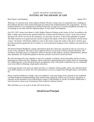## GOD'S MIGHTY WARRIORS-PUTTING ON THE ARMOR OF GOD

Dear Parent's and Students,  $\frac{1}{2}$  August 2011

Welcome, or welcome back, Zion Lutheran School. We have a deep sense of community here, building on the traditions that have been fostered through our Church and complemented by the congregation.. At Zion Lutheran School we are inspired by the Word of God and so I urge you to read this handbook and reflect on its meaning as you enter into this important phase of your child's development.

Our 2011-2012 school year theme is God's Mighty Warriors-Putting on the Armor of God. According to the bible, a battle rages between the spiritual followers of Satan and the followers of god. In the end we know that god will win the war, but in the meantime, our adversary, the devil, is deceiving multitudes of people. The bible instructs us to guard and arm ourselves against the attacks of the devil, specifically with the armor of god. Our theme will help the children to 'put on' the armor of god, the reality of the devil, and how god provides protection against the devil's attacks, as well as practical teaching on how children can stand firm in their faith.

The Parent-Student Handbook contains information about the school day and policies that are necessary in its day to day operation. The goal at Zion Lutheran School is to provide a Christ centered education, and striving to reach this goal is a cooperative effort on the part of the students, teachers, administrators, parents and community. We would like parents to become actively involved in school activities.

We will encourage all of our students to strive for academic excellence, good citizenship, and be an active participant in school activities. Students will be expected to demonstrate good conduct and to be responsible for completing class work and all homework assignments. Only with parent cooperation can we continually assist your child in obtaining a high quality education.

I encourage parents to be active in school activities, to volunteer when possible, and to stay informed about your child's progress at school. We will communicate to you on a regular basis through notices, newsletters, etc.

Please read this handbook carefully with your child(ren). Your knowledge of the material in this handbook can help eliminate misunderstandings that could develop during the school year. If you have questions or concerns on the operation of our school please contact a staff member or myself, for further clarification. I look forward to a great year of learning at Zion Lutheran Lutheran School.

May God bless us as we seek to do the will of our Savior,

# *David Gosa-Principal*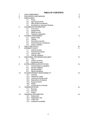## **TABLE OF CONTENTS**

| 1                       | <b>OUR COMMITMENT</b>         |                                                       |    |  |  |
|-------------------------|-------------------------------|-------------------------------------------------------|----|--|--|
| $\overline{\mathbf{c}}$ | PHILOSOPHY AND MISSION        |                                                       |    |  |  |
| 3                       | <b>ENROLLMENT</b>             |                                                       |    |  |  |
|                         | 3.1                           | Policy                                                |    |  |  |
|                         | 3.2                           | Age requirements                                      |    |  |  |
|                         |                               | 3.3 New student enrollment                            |    |  |  |
|                         | 3.4                           | <b>Enrollment or returning Students</b>               |    |  |  |
| 4                       | <b>CLASSROOM INFORMATION</b>  | 8                                                     |    |  |  |
|                         | 4.1                           | Curriculum                                            |    |  |  |
|                         | 4.2                           | Assignments                                           |    |  |  |
|                         | 4.3                           | Make-up work                                          |    |  |  |
|                         | 4.4                           | <b>Teachers credentials</b>                           |    |  |  |
| 5                       | STUDENT ASSESSMENT            | 9                                                     |    |  |  |
|                         | 5.1<br>Report cards           |                                                       |    |  |  |
|                         | 5.2                           | Testing                                               |    |  |  |
|                         | 5.3                           | Permanent records                                     |    |  |  |
|                         | 5.4                           | Parent/Teacher conference                             |    |  |  |
|                         | 5.5                           | School visitation                                     |    |  |  |
| 6                       |                               |                                                       | 10 |  |  |
| $\overline{7}$          |                               | <b>FIELD TRIP POLICY</b><br><b>INTERNET POLICY</b>    |    |  |  |
|                         | 7.1                           | Internet access                                       | 11 |  |  |
|                         | 7.2                           | Parental permission                                   |    |  |  |
|                         | 7.3                           | Internet rules                                        |    |  |  |
|                         | 7.4                           | Internet violations                                   |    |  |  |
| 8                       |                               | ADDITIONAL PROGRAMS AVAILABLE                         | 13 |  |  |
|                         | 8.1                           | Title 1                                               |    |  |  |
|                         | 8.2                           |                                                       |    |  |  |
|                         | 8.3                           | <b>Unique Learners</b>                                |    |  |  |
|                         |                               | Elementary band<br><b>EXTRA CURRICULAR ACTIVITIES</b> | 14 |  |  |
| 9                       | 9.1                           |                                                       |    |  |  |
|                         | 9.2                           | Interscholastic competition                           |    |  |  |
|                         |                               | Student eligibility                                   |    |  |  |
|                         | 9.3                           | Sportsmanship                                         |    |  |  |
|                         | 9.4                           | Sports handbook                                       | 15 |  |  |
| 10                      | STUDENT/PARENT RESPONSIBILITY |                                                       |    |  |  |
|                         | 10.1                          | Clothing                                              |    |  |  |
|                         | 10.2                          | Telephone usage                                       |    |  |  |
|                         | 10.3                          | Leaving school grounds                                |    |  |  |
|                         | 10.4                          | Destruction of property                               |    |  |  |
|                         | 10.5                          | Nuisance items                                        |    |  |  |
|                         | 10.6                          | <b>Notice</b>                                         |    |  |  |
|                         | 10.7                          | A Final Word to Parents                               |    |  |  |
| 11                      |                               | <b>TRANSPORTATION</b>                                 | 16 |  |  |
|                         | 11.1                          | <b>Bussing</b>                                        |    |  |  |
|                         | 11.2                          | <b>Bicycles</b>                                       |    |  |  |
|                         | 11.3                          | <b>Notice</b>                                         |    |  |  |
| 12                      |                               | <b>FINANCIAL INFORMATION</b>                          | 18 |  |  |
|                         | 12.1                          | <b>Statements</b>                                     |    |  |  |
|                         | 12.2                          | Registration fee                                      |    |  |  |
|                         | 12.3                          | <b>Tuition fee</b>                                    |    |  |  |
|                         | 12.4                          | Assistance available                                  |    |  |  |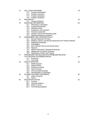| 13 |                                | <b>HOT LUNCH PROGRAM</b>                                      | 19 |
|----|--------------------------------|---------------------------------------------------------------|----|
|    | 13.1                           | Program participation                                         |    |
|    | 13.2                           | Program payments                                              |    |
|    | 13.3                           | Program assistance                                            |    |
|    | 13.4                           | Program donations                                             |    |
| 14 | <b>MILK BREAK</b>              |                                                               |    |
|    | 14.1                           | Lactose intolerant                                            |    |
| 15 | <b>DISCIPLINE INFORMATION</b>  |                                                               | 20 |
|    | 15.1                           | Philosophy of Discipline                                      |    |
|    | 15.2                           | <b>Corporal Punishment</b>                                    |    |
|    | 15.3                           | <b>Discipline Policy</b>                                      |    |
|    | 15.4                           | Suspension and expulsion                                      |    |
|    | 15.5                           | Parental cooperation                                          |    |
|    | 15.6                           | Student conduct and discipline guide                          |    |
|    | 15.7                           | Detention/expulsion procedure                                 |    |
| 16 | HARASSMENT AND VIOLENCE POLICY |                                                               | 23 |
|    | 16.1                           | <b>General Statement of Policy</b>                            |    |
|    | 16.2                           | Religious, Racial, and Sexual Harassment and Violence Defined |    |
|    | 16.3                           | <b>Reporting Procedures</b>                                   |    |
|    | 16.4                           | Investigation                                                 |    |
|    | 16.5                           | Zion Lutheran Church and School Action                        |    |
|    | 16.6                           | Reprisal                                                      |    |
|    | 16.7                           | <b>Right to Alternative Complaint Procedures</b>              |    |
|    | 16.8                           | Harassment of Violence as Abuse                               |    |
|    | 16.9                           | Distribution of Policy and Training                           |    |
| 17 |                                | PROCEDURE FOR DEALING WITH PROBLEMS RELATED                   |    |
|    |                                | TO A TEACHER OR ADMINISTRATOR                                 | 28 |
|    | 17.1                           | Procedure                                                     |    |
|    | 17.2                           | Flow chart                                                    |    |
| 18 |                                | <b>HEALTH SERVICES</b>                                        | 30 |
|    |                                | 18.1 Health program                                           |    |
|    | 18.2                           | Student illness                                               |    |
|    | 18.3                           | Sickness at school                                            |    |
|    | 18.4                           | Injury at school                                              |    |
|    | 18.5                           | Communicable diseases                                         |    |
|    | 18.6                           | Administration of medication                                  |    |
| 19 |                                | STUDENT ACCIDENT INSURANCE                                    | 32 |
|    | 19.1                           | Claim procedure                                               |    |
|    | 19.2                           | <b>Notice</b>                                                 |    |
| 20 |                                | <b>EDUCATION LEAGUE</b>                                       | 33 |
|    | 20.1                           | Purpose                                                       |    |
|    | 20.2                           | <b>Volunteer Options</b>                                      |    |
|    | 20.3                           | Moms In Touch                                                 |    |

20.4 Fund-raising programs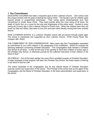## 1 Our Commitment

EDUCATING CHILDREN has been a long-term goal of Zion Lutheran Church. Zion school uses this unique ministry with the goal of sharing the caring Christ. The faculty's care for children goes beyond simple or programmed techniques. Their caring stems wholeheartedly from their commitment to model Jesus Christ. They teach joyfully about the most caring of all times, the death of God's Son on a cross for the sins and forgiveness of the entire world. Central to every caring act of every day in Zion Lutheran School is Christ's love. When the children learn they are loved, by God and others, they learn to love Him and each other thereby having their lives touched forever.

ZION LUTHERAN SCHOOL is a Lutheran Christian school with pre-school through grade eight. The school is maintained and supported by Zion Lutheran Church, 14745 County Road 153, Cologne, MN 55322.

THE COMMITMENT OF ZION CONGREGATION - Many years ago Zion Congregation expressed its commitment to our Lord's mission in the paragraphs of its constitution. Article XII includes the following statement concerning Christian Education: "The Congregation shall maintain a Christian Day School at all times. It shall be the duty of the parents to send their children of school age to the Christian Day School, or otherwise provide for the sufficient instruction of their children in the Word of God."

AS A RESULT - Out of this basic pledge has come Zion's excellent program of Christian Education. A major emphasis of that program has been the Christian Day School, the finest means of training in the Word of God for Life!

The Voters Assembly of the congregation and its duly elected Board of Christian Education exercise control and supervision of the school. The Principal of the school acts as the agent of the Congregation and the Board of Christian Education in the direct administration and supervision of the school.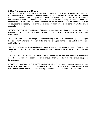## 2 Our Philosophy and Mission

PHILOSOPHY STATEMENT - Every child born into the world is first of all God's child, endowed with an immortal soul destined for eternity, therefore, it is our belief that the one cardinal objective of education, to which all others point, is to develop devotion to God as our Creator, Redeemer, and Sanctifier, whose love moves us to show our love for Him in every act, thought, word and desire of our daily life. As Christ is the center of our lives, so He is also in, with, under, and through our educational philosophy. To bring about such development, it is our constant aim to promote each individual pupil.

MISSION STATEMENT: The Mission of Zion Lutheran School is to "Feed My Lambs" through the teaching of the Christian Faith and guidance in the Christian Life for personal growth and development.

FAITH LIFE - Increased knowledge and understanding of the Bible. Increased dependence upon the Father as Creator and Preserver of life; and the Holy Spirit as the source and strength of faith and the New Life.

SANCTIFICATION - Service to God through worship, prayer, and mission endeavor. Service to the church through talents, time, treasures and testimonies. Service to his fellowman by living "as unto Christ."

PERSONAL LIFE ADJUSTMENT - Training for the maximum physical and intellectual capabilities of each pupil, with due recognition for individual differences, through the various stages of development.

A GOOD EDUCATION IS THE BEST INVESTMENT - "You parents cannot prepare a more dependable treasure for your children than an education in the liberal arts. House and home burn down and disappear, but an education is easy to carry with you at all times." Martin Luther.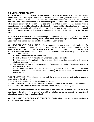# **3 ENROLLMENT POLICY**

3.1 STATEMENT - Zion Lutheran School admits students regardless of race, color, national and ethnic origin to all the rights, privileges, programs, and activities generally accorded or made available to students at the school. It does not discriminate on the basis of race, color, national and ethnic origin in administration of its educational policies, admission policies, and athletic and other school administered programs. Exceptions to admittance may be encountered when a student presents a need for which the school is not equipped and for which the teachers have not been trained. Students will receive a Lutheran education and we urge parents with no church affiliation to attend services at Zion in order to gain understanding of the teaching of the Christian faith.

3.2 AGE REQUIREMENTS - Children entering Kindergarten must reach the age of five before the first of September, children entering First Grade must reach the age of six before the first of September. Pre-School children must be at least three years of age.

 $3.3$ NEW STUDENT ENROLLMENT - New students are always welcomed. Application for enrollment for grade 1-8 may be made to the Principal, Mr. David Gosa. Applications for Kindergarten and Pre-School may be made to Mrs. Jean Lindquist, Early Childhood Director. The Board of Education gives final approval on all applications. The following procedure will be followed for new families.

- 1. Parents will complete an enrollment form.
- 2. Parents will meet with Principal/Early Childhood Director for conference.
- 3. Principal obtains information from the previous school or teacher, especially in the case of students above grade one.
- 4. The principal will make formal notification of admission, or denial of admission through a written letter to parent(s).
- 5. A new student will be on probation for one marking period. Probation implies that a student may be asked to leave the school without following the formal channels of a student who is not on probation.

FULL ADMITTANCE - The principal will consult the classroom teacher and make a personal observation in the following areas.

Spiritual - The student is open to the religious instruction.

Socially - The student conforms to discipline procedures outlined in the Parent/Student handbook. Academically - The student's needs and concerns can be met by our teaching staff.

The principal's recommendation will be presented to the Board of Education, who will make the final decision to fully admit the student, extend the probation period, or request the student seek educational opportunities in another school.

3.4 ENROLLMENT OF RETURNING STUDENTS - Registration forms will be made available in April for enrollment for fall classes.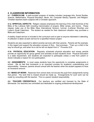## **4 CLASSROOM INFORMATION**

4.1 CURRICULUM: A well-rounded program of studies includes Language Arts, Social Studies, Science, Mathematics, Physical Education, Music, Art, Computer literacy, Spanish, and Religion. Christian teachers teach subjects with a Christian approach.

4.1a SPIRITUAL ASPECTS: Religion classes emphasize the learning of the chief doctrines of the Bible of the Lutheran faith including memorization of prayers, Bible verses, and hymns. These classes make use of the Bible (New International Version), hymnal, (Lutheran Worship) and Luther's Small Catechism. The student as needed for their classroom situation may purchase a Bible and Catechism.

A weekly chapel service is included in the curriculum and is open to anyone interested in attending. A collection is taken at each service for a specified mission project.

Students are also expected to attend worship services with their parents. Parents set the example, in this regard and support the education process of Zion. God promises - "Train up a child in the way he should go; and when he is old he will not depart from it." Proverbs 22:6

4.1b PHYSICAL EDUCATION: Regularly scheduled physical education and recess periods provide an opportunity for group games and activities at each student's level. Physical Education is a state requirement, and students are expected to participate unless a note from parent or doctor indicates a reason for non-participation.

4.2 ASSIGNMENTS: In most cases students have the opportunity to complete assignments in school. We do feel that homework is an important process for academic understanding and responsibility. However, parents should consult with the teacher when the student appears to have an excessive amount.

4.3 MAKE-UP WORK: Absences from school does not excuse the pupil from assignments during that period. The work that is missed should be made up. Arrangements for such work can be made by consulting with the teacher. This is a parent /student responsibility.

4.4 TEACHER CREDENTIALS: Our teachers are certified and licensed by the State of Minnesota. Our teachers are committed and dedicated to ongoing professional development.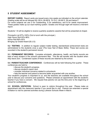# **5 STUDENT ASSESSMENT**

**REPORT CARDS:** Report cards are issued every nine weeks as indicated on the school calendar. Grading scale will be as followed 90-100 A, 80-89 B, 70-79 C, 60-69 D, 59 and below F. For some subjects we use O for Outstanding, S for satisfactory, and N for needs improvement. These grades make up our dual marking system. Grades one through eight will receive a mid-term report.

Students 1-8 will be eligible to receive quarterly academic awards that will be presented at chapel.

Principal's List 97%-100% (Out to lunch with the principal.) High Honor Roll 93%-96% Honor Roll 89%-92% Bringing Up Grade Award (B.U.G)

**5.2 TESTING:** In addition to regular subject matter testing, standardized achievement tests are administered to the students once a year (The Iowa Test of Basic Skills). These test scores are recorded in the student's permanent record.

5.3 PERMANENT RECORDS: Complete scholastic, attendance, health, and family records are kept of each student in the school's permanent files. This file will transfer with the student when they leave Zion. Condensed copies of these records are retained by the school.

5.4 PARENT/TEACHER CONFERENCE - Conferences will be held following first quarter. These conferences are held to:

- discuss the student's progress.
- · discuss student's report card.
- consider individual concerns related to schoolwork.
- help the teacher and parent to become better acquainted with one another.

Your student's progress is important to us, and the teachers are available throughout the school year to discuss your concerns and questions. Please schedule an appointment with the student's teacher if you have a concern. We request that parents not use the time prior to the beginning of school for conferences.

**5.5 SCHOOL VISITATION:** School is open to visitors throughout the year. Please make an appointment with the classroom teacher if you would like to visit. Parents are extended a special invitation to visit for planned activities during Lutheran Schools Week in March.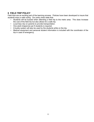# **6 FIELD TRIP POLICY**

Field trips are an exciting part of the learning process. Policies have been developed to insure that students enjoy a safe outing. Our policy does state that:

- $\bullet$  . Students will be bussed when attending a field trip to the metro area. This does increase the cost of the field trip but also allows for a safe trip.
- Local trips rely on parents to provide transportation.
- One adult chaperone per 6 students is required.
- A buddy system will also be used by the students while on the trip.
- Medical equipment and personal student information is included with the coordinator of the trip in case of emergency.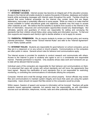## **7 INTERNET POLICY**

7.1 INTERNET ACCESS: Internet access has become an integral part of the education process. Access to the Internet will enable students to explore thousands of libraries, databases and bulletin boards while exchanging messages with Internet users throughout the world. Families should be warned that some material accessible via the Internet may contain items that are illegal, defamatory, inaccurate or potentially offensive to some people. While our intent is to make Internet access available to further educational goals and objectives, students may find ways to access other materials as well. We believe that the benefits to students from access to the Internet in the form of information, resources and communication opportunities exceed any disadvantages. But ultimately, parents and guardians of minors are responsible for setting and conveying the standards that their children should follow when using media and information sources. To that end Zion supports and respects each family's right to decide whether or not to apply for access.

7.2 PARENTAL PERMISSION: We do require students to review our Internet policy and receive parental permission. Please review "School Internet Rules" and refer to the "Internet Agreement" in your Yearly Update packet.

7.3 INTERNET RULES: Students are responsible for good behavior on school computers, just as they are in a classroom or on any school or church property. Communications on the computers are often public in nature. General school rules for behavior and communications apply.

The Internet access is provided for students to conduct research and communicate with others. Access to the Internet is given to students who agree to act in a considerate and responsible manner. Parental permission is required. Only students whose class work and homework are upto-date will be allowed Internet access.

Individual users of the computers are responsible for their behavior and communications on them. It is presumed that users will comply with school standards and will honor the agreements they have signed. Beyond the clarification of such standards Zion is not responsible for restricting, monitoring, or controlling the communications of individuals utilizing the computers.

Computer, Internet and e-mail file storage areas are school property. School officials may review files and communications to maintain system integrity and insure that users are using the system responsibly. Users should not expect that files stored on the computers would be private.

Within reason, freedom of speech and access to information will be honored. Teachers will guide students toward appropriate materials, but parents bear the responsibility, as with information sources such as television, telephones, movies, radio and other potentially offensive media.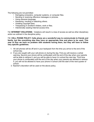The following are not permitted:

- Damaging computers, computer systems, or computer files.
- Sending or receiving offensive messages or pictures.
- Using obscene language.
- Harassing, insulting or attacking others.
- Violating copyright laws.
- Trespassing in another's folders, work or files.
- Intentionally wasting Internet access time.

7.4 INTERNET VIOLATIONS: Violations will result in a loss of access as well as other disciplinary action as outlined in the discipline policy.

7.5 CELL PHONE POLICY: Cells phone are a wonderful way to communicate to friends and family, but like everything else they have an appropriate time and place to be used. This year at Zion we have no problem with students having them, but they will have to follow very specific guidelines.

- 1. All cell phones will be off and in your backpack from the time you arrive to the end of the school day.
- 2. If you are caught with your cell phone on during the day. First you will receive a verbal warning. Second your phone will be confiscated until the end of the day when your parents will be able to retrieve it, and you will be able to have it in school the next day. Third time your phone is confiscated until the end of the day when your parents are allowed to retrieve it, you will not be allowed to have your phone in school until the start of the next quarter of school.
- 3. Teacher's discretion will be used on the above policy.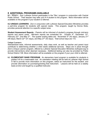# **8 ADDITIONAL PROGRAMS AVAILABLE**

8.1 TITLE I: Zion Lutheran School participates in the Title I program in conjunction with Central Public School. Their teacher may refer your K-4 student to the program. More information will be available on the program if your student is referred.

8.2 UNIQUE LEARNERS: Zion in conjunction with Lutheran Special Education Ministries provides a part-time program for students with special needs. This program, taught by Donna Stole, provides personal attention to a specific subject area.

Student Assessment Reports - Parents will be informed of student's progress through mid-term reports and report cards. Mid-term reports are scheduled for: October 4<sup>th</sup>, December 13<sup>th</sup>, February 22<sup>nd</sup>, and May 2<sup>nd</sup>. The quarter ending dates are: November 5<sup>th</sup> (42 days), January 21<sup>st</sup>  $(46 \text{ days})$ , March  $22^{\text{nd}}$  (41 days), and May  $27^{\text{th}}$  (43 days). Total school days are 172.

#### **Unique Learners:**

Standardized tests, informal assessments, daily class work, as well as teacher and parent input contribute to determining whether a child needs additional services. Steps are in place through Zion's Unique Learner program, offered by Lutheran Special Education Ministries (luthsped.org) to provide interventions when deemed necessary. Additional testing can also be provided by Public School District 108. More information will be available on the program if your your child is referred.

8.3 ELEMENTARY BAND PROGRAM: An elementary band program is available for students in grades 5-8 for a reasonable cost. An orientation meeting will be held at Lutheran High School in fall to provide more information on this program, select an instrument for the student, and provide information on purchasing/renting that instrument. Lessons will be held on a weekly basis at Zion and taught by a qualified instructor.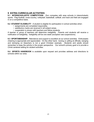# **9 EXTRA CURRICULAR ACTIVITIES**

9.1 INTERSCHOLASTIC COMPETITION: Zion competes with area schools in interscholastic sports. Flag football, cross-country, volleyball, basketball, softball, and track and field are engaged in on a competitive basis.

9.2 STUDENT ELIGIBILITY - A student is eligible for participation in school activities when:

- assignments are completed responsibly.
- · satisfactory marks are received in all subject areas.
- cooperation is shown with teachers and fellow students.

A teacher or group of teachers will determine ineligibility. Parents and students will receive a notification of ineligibility. Ineligibility will be one week (exception see suspensions).

9.3 SPORTSMANSHIP: Attendance and support is excellent at our school activities. Enthusiastic cheering is appropriate and appreciated. On the other hand, booing or yelling at officials, banging and stomping on bleachers is not a good Christian example. Students and adults should remember to keep the activity in the proper perspective. Our school's primary goal is to provide a Christ centered setting for student activities.

9.4 SPORTS HANDBOOK is available upon request and provides address and directions to schools within our area.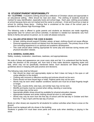# **10 STUDENT/PARENT RESPONSIBILITY**

10.1 CLOTHING: A student's clothing should be a reflection of Christian values and appropriate in an educational setting. Attire should be neat and clean. The clothing of students should be marked for easy identification, especially boots and school bags. Each year, clothing accumulates at school because items are not marked and the owner is unknown. A lost and found box is kept at school for clothing these items. Clothing that is unclaimed at the close of the school year is donated to the Lutheran High Rummage Sale.

The following code is offered to guide parents and students as decisions are made regarding appropriate wear for school and school activities. A standard is needed but standards vary from family to family and person-to-person, so no code will please everyone.

## 10.1a VALUES UPON WHICH THE CODE IS BASED:

- At best, clothing should support Christian values; at least, clothing should not cause offense.
- Personal appearance should not distract from the learning process. The primary focus of the Zion schooling experience is on spiritual and academic development.
- This code should allow clothing appropriate for some play and exercise during recess and physical education classes.

## **10.1b GENERAL GUIDELINES:**

Safety, modesty, moderation, cleanliness, neatness, and appropriateness.

No code of dress and appearance can cover every style and fad. It is understood that the faculty. under the direction of the principal, will, from time to time make decisions regarding styles and fads, which may not be specifically mentioned below. Such decisions will follow the general guidelines above in keeping with past practice and decisions.

The following rules shall be followed:

- Hair should be clean and appropriately styled so that it does not hang in the eyes or call undue attention to the student.
- Clothing with immoral or offensive wording and pictures should not be worn.
- Pants should not have frayed legs or holes. Pajama pants may not be worn.
- Shorts may be worn when weather conditions warrant and must be at least fingertip length  $\bullet$ or longer.
- Tank tops, muscle shirts, tube tops, and similar tops may not be worn.
- Midriffs and backs must be covered when sitting, standing or exercising.
- Low cut tops may not be worn.
- Appropriate athletic shoes should be available for physical education classes.  $\bullet$
- Appropriate footwear and winter clothing should be worn in cold weather.
- $\bullet$ Shorts may only be worn from the first day of school until the last day in October and then from the 1<sup>st</sup> day in April until the last day of school.

Boots (or other shoes) are required for all students for outdoor activities when there is snow on the around.

Boots must be replaced with dry shoes in the building.

Students in grades K-4 must wear snow pants and snow suits when sledding or playing in the snow.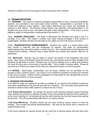Students in grades 5-8 are encouraged to wear snow pants when sledding.

# **11 TRANSPORTATION**

11.1 BUSSING: The names of students requesting transportation to Zion, including Kindergarten students, are submitted to the local public school districts. Transportation is provided by the Central and Waconia school districts. Each district determines bus routes and schedules for students in their district. The Waconia School District may determine that transportation is not feasible from your home to Zion and retains the right to deny transportation. If this occurs, you are eligible to apply for transportation reimbursement (see section 11.12.)

11.1a BUSSING PRIVILEGES: The State of Minnesota has declared that riding a bus is a privilege, not a right. This means a student may loose bussing privileges if their conduct is questionable! Students will also be instructed on bus safety as part of the school curriculum.

11.1b TRANSPORTATION REIMBURSEMENT: Students who reside in a school district other than Central or Waconia, and are transported by parents, may apply for transportation reimbursement from the school district in which they live. Zion submits forms to the Waconia and Chaska School Districts. Parents living in other districts may contact their district's office for an application.

11.2 BICYCLES: Bicycles may be ridden to school and placed in the designated area upon arrival. Bike riding is not allowed during the school day, and bicycles must be ridden straight home following the dismissal of school. Bicycles may not use the parking lot as a riding area following the close of school due to the amount of vehicle traffic. This is matter of student safety. Please be sure that your children are aware of this if they are riding their bicycles on school property.

11.3 NOTICE: Motorcycles, snowmobiles, and all terrain vehicles are not permitted on the property of Zion Lutheran Church. Our church is not covered for accidents involving such vehicles on the church property. Neither will the congregation be responsible for any damage that occurs to a vehicle while parked on church property.

## **11.4PARKING PROCEDURES**

In an effort to make our parking lot as safe as possible for our parents and students procedures have been established for the drop-off and pick-up of students. The new policy asks parents and students to observe these traffic patterns to reduce the risk of injury.

11.41 School Entrance/Exit: All vehicles will use the south entrance (Stuewe's gravel driveway) when entering the grounds on Monday through Friday and proceed through the school parking lot to the church parking lot. All vehicles will use the north entrance (by the mail boxes) when leaving the grounds. This will accommodate traffic flow in an orderly manner.

11.42 Drop-off/Pick-up: Students should use the main entrance (church doors) to enter the building. This includes pre-school students/parents. The area by the school door is reserved for bussed students only.

In the church parking lot, parents should use the north line of parking spaces that also face south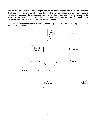(see below). This will allow vehicles to pull through the parked position and into the flow of traffic. It will also reduce the number of vehicles that need to back-up making for a safer traffic pattern. Parents are responsible for the supervision of their children in this area. Children should not be allowed to run freely, or run between the bussed area and the parking area. The south line of parking (towards the cemetery) should not be used for cars.

The back loop behind school is limited to deliveries only and should not be used by parents as a drop-ff/pick-up location

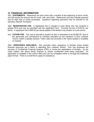## **12 FINANCIAL INFORMATION**

12.1 STATEMENTS: Statements are sent home with a student at the beginning of each month, and will include the amount due for lunch, milk, and tuition. Statements may also indicate payment due for field trips or books purchased. Questions regarding payments may be directed to the secretary, Brenda Thompson.

12.2 REGISTRATION FEE: A registration fee is charged to each family who has students in grades PK-8 and may be submitted with the registration form. Currently the fee is \$125.00, per family. A registration fee of \$50.00 per family applies if the family's only student is in pre-school.

12.3 TUITION FEE: The cost to educate a student at Zion is estimated to be \$3,800.00. Due to the generosity and commitment to Christian education by the members of Zion Lutheran Church, tuition is greatly reduced. Tuition rates are provided in the Yearly Update or available on request.

12.4 ASSISTANCE AVAILABLE: Zion provides tuition assistance to families where limited financial resources are a factor in attending Zion Lutheran School. Zion has employed the services of Confidential Financial Analysis (CFA) to review the applications of families. As the name implies, this allows family finances to remain confidential while being evaluated. An application is available in the school office and can be completed online or through the traditional paper format. There is a small fee to apply for assistance.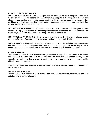# **13 HOT LUNCH PROGRAM**

13.1 PROGRAM PARTICIPATION: Zion provides an excellent hot lunch program. Because of the size of our school we depend on each student to participate in the program to make it cost effective. Bag lunches are strongly discouraged in order to maintain program efficiency. Zion provides a well-balanced lunch that meets federal requirements for nutrition, and also takes into account special dietary needs of students.

13.2 PROGRAM PAYMENTS: You will receive a monthly statement indicating your account balance. In May, your statement will include April lunches and an estimate for lunches in May. Your prompt payment assists us in keeping the program's cost at a minimum.

13.3 PROGRAM ASSISTANCE: If paying for your student's lunch is financially difficult; please refer to the Free and Reduced Lunch Application available in your Yearly Update.

13.4 PROGRAM DONATIONS: Donations to the program also assist us in keeping our costs at a minimum. Donations of non-perishable items such as flour, sugar, salt, brown sugar, Jell-o, chocolate chips, etc. are appreciated. Check with Bev Rolf for details and current needs.

## **14 MILK BREAK**

Kindergarten to Grade 8: Milk is available for your student during scheduled breaks in the school day. Teachers will keep track of milks for students who drink milk during these breaks, and by students who drink more than one milk at lunch (1 milk is provided with lunch.) The milks will be added to your monthly statement.

Pre-school students may receive milk at their break. There is a minimal charge of \$5.00 per year for this program.

#### **14.1 MILK INFORMATION**

Lactose reduced milk shall be made available upon receipt of a written request from any parent of a student who is lactose intolerant.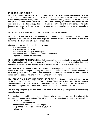# **15 DISCIPLINE POLICY**

15.1 PHILOSOPHY OF DISCIPLINE: Our behavior and words should be viewed in terms of the Christian life and the example of our Lord Jesus Christ. Christ is our moral force and our example of love and forgiveness. Every disciplinary event is viewed as having potential for the child to learn and grow. The child learns what God expects of him: learning to communicate effectively with peers and teachers. Increasingly, the child learns to control his or her own behavior; to make demands on himself or herself in achieving goals to be successful, and to be an example of Christian standards.

15.2 CORPORAL PUNISHMENT: Corporal punishment will not be used

 $15.3$ **DISCIPLINE POLICY:** All teachers in a Lutheran school consider it a part of their responsibility to guide, direct, and encourage the Christian discipline of the entire student body during the school day and extra curricular activities.

Infraction of any rules will be handled in five steps:

- 1. The teacher and the pupil.
- 2. The teacher and the parent.
- 3. The teacher, the principal, and the parent.
- 4. The teacher, parents, student, and Board of Education.
- 5. Expelled or referred for counseling.

**15.4 SUSPENSION AND EXPULSION:** Only the principal has the authority to suspend a student. Expulsion requires action by the Board of Education. If a teacher feels a student has done something to warrant suspension or expulsion, the teacher will consult with the Principal.

15.5 PARENTAL COOPERATION: We expect the full cooperation of all parents. The school stands in the place of the parent during the school day. The school exists to benefit each child in his or her spiritual, emotional, social, and academic development. We would like the children to benefit from the best we have to offer in our Christian environment

15.6 STUDENT CONDUCT AND DISCIPLINE GUIDE: Our ultimate authority and quide for our life in and out of school is God's Word. Jesus Christ was asked which is the greatest commandment in the Law? His reply, "Love the Lord your God with all your heart and with all your soul and with all your mind"..."Love your neighbor as yourself." Matthew 22:37, 39.

The following discipline guide has been established to provide a specific procedure for handling student misconduct:

Each teacher has established a plan for dealing with classroom problems. This plan will be discussed thoroughly with the class. The following principles have been agreed on by the staff.

- 1. Be prepared for learning.
- 2. Listen and follow directions.
- 3. Show respect for others and their property.
- 4. Keep hands, feet and other objects to yourself.
- 5. Talk softly.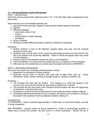## **15.7 DETENTION/EXPULSION PROCEDURE**

## **PART I - DETENTIONS**

Detentions will be served Friday afternoons from 3:15 - 4:15 PM unless other arrangements have been made.

Items that may incur an immediate detention are:

- 1. Leaving the school grounds, skipping or leaving class without teacher's permission.
- 2. Fighting
- 3. Offensive language
	- using God's name in vain
	- cursing
	- using profane or vulgar language
	- 'put downs'
- 4. Lying or cheating
- 5. Disrespect toward staff/parent helpers (sassing or refusing to cooperate)

Procedure:

- 1. Student receives a copy of the detention, teacher keeps one copy, and the principal receives the third copy.
- 2. Student's copy must be taken home, signed by parent/legal guardian and returned the next day to the teacher who issued the detention. Failure to return the signed notice may result in a 2nd detention.
- 3. Failure to report to the detention period will result in a 2nd detention.
- 4. The third detention of a school year the student will have a conference with the principal.
- 5. With each set of four detentions in a school year the student will receive a REFERRAL.

#### PART II - REFERRAL/SUSPENSION

Items that may result in an immediate referral/expulsion include:

- 1. Harassment or intimidation of fellow students.
- 2. Especially serious types of behavior that could lead to legal action such as: sexual harassment, abuse, assault, carrying concealed weapons, stealing, vandalism, etc.

Procedure:

- 1. The Principal will meet with the student. This meeting is to notify the student of the concerns and to provide the student an opportunity to defend him or herself.
- 2. The principal will give oral notice of the concerns and the student will have the opportunity to provide his or her side of the story.
- 3. A judgment is made by school principal based on the evidence and the student's defense.
- 4. Immediately following the decision to give a referral, the parents will be notified in writing of the length of the suspension and any special conditions relating to it.

## Consequences:

1ST REFERRAL - Letter to parents/ legal guardian, a written plan to correct the problem, one day in house suspension.

2ND REFERRAL - parents contact by phone followed by a letter to parents/legal guardian, a written plan to correct the problem, two day home or in house suspension. Student will be on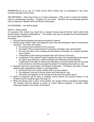PROBATION for up to one (1) month during which he/she may not participate in any extracurricular activities of the school.

3RD REFERRAL - Three days home or in house suspension. Write a plan to correct the problem. Letter to parents/legal guardian. Probation for one month. Students and parents/legal guardian may be required to appear before the Board of Education.

4TH REFERRAL - see 'EXPULSION'

## **PART III - EXPULSION**

An expulsion from school may result from a student having received his/her fourth referral that would indicate "persistent disobedience". The student may also be expelled by the Administration for serious types of behavior.

Procedure:

- 1. Informal hearing between principal and student in referral.
- 2. Parents given written notice and telephone call of the administrations' intent of recommend expulsion. The notice will include:
	- a. the concerns and evidence for the concerns.
	- b. the length of time recommended for expulsion (semester, year, permanently).
	- c. the time and place of the meeting with the Board of Education to consider expulsion (see 4 below).
	- d. a description of the hearing procedure (who will conduct it and how).
	- e. a statement of the student's rights including the right to be represented by the parent, the right to give testimony, present evidence and otherwise provide defense.
	- f. a statement of the right to request the attendance of school personnel who are party to the incident or who have accused the student of violating school policy or rule.
- 3. Expulsion will be by formal action of the Board of Education. The Board may meet in closed session when requested by student or parent/guardian.
	- a. The Board must act in public session with a quorum present.
	- b. The expulsion must be by formal motion and confirmed by vote.
	- c. The action must appear on the minutes and be part of the public record.
- 4. Notice of expulsion will be sent to student's school district and juvenile division of the Probate Court for students ages 6 through 16.
- 5. Where the Board rules in favor of the student, the student shall be reinstated immediately. The student shall be allowed to return to school without prejudice or penalty unless otherwise directed in the motion of the Board.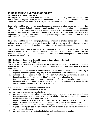# **16 HARASSMENT AND VIOLENCE POLICY**

## **16.1 General Statement of Policy**

It is the policy of Zion Lutheran Church and School to maintain a learning and working environment that is free from religious, racial, or sexual harassment and violence. Zion Lutheran Church and School prohibits any form of religious, racial, or sexual harassment and violence.

It is a violation of this policy for any pupil, teacher, administrator, or other school personnel of Zion Lutheran Church and School to harass a pupil, teacher, administrator, or other school personnel through conduct or communication of a sexual nature or regarding religion and race as defined by this policy. (For purposes of this policy, school personnel include school board members, school employees, agents, volunteers, contractors, or persons subject to the supervision and control of Zion Lutheran Church and School.)

It is a violation of this policy for any pupil, teacher, administrator, or other school personnel of Zion Lutheran Church and School to inflict, threaten to inflict, or attempt to inflict religious, racial, or sexual violence upon any pupil, teacher, administrator, or other school personnel.

Zion Lutheran Church and School will act to investigate all complaints, either formal or informal, verbal or written, of religious, racial, or sexual harassment of violence and to discipline or take appropriate action against any pupil, teacher, administrator, or other school personnel who is found to have violated this policy.

## 16.2 Religious, Racial, and Sexual Harassment and Violence Defined

## 16.21 Sexual Harassment Definition:

Sexual harassment consists of unwelcome sexual advances, requests for sexual favors, sexually motivated physical conduct, or other verbal or physical conduct or communication of a sexual nature when:

- a. submission to that conduct or communication is made a term or condition, either explicitly or implicitly, of obtaining or retaining employment, or of obtaining an education; or
- submission to or rejection of that conduct or communication by an individual is used as a  $b_{-}$ factor in decisions affecting that individual's employment or education; or
- that conduct or communication has the purpose or effect of substantially or unreasonably  $\mathsf{C}$ . interfering with an individual's employment or education, or creating an intimidating, hostile, or offensive employment or educational environment.

Sexual harassment may include but is not limited to:

- unwelcome verbal harassment or abuse a.
- $b_{-}$ unwelcome pressure for sexual activity
- unwelcome, sexually motivated or inappropriate patting, pinching, or physical contact, other C. than necessary restraint of pupil(s) by teachers, administrators, or other school personnel to avoid physical harm to persons or property;
- unwelcome sexual behavior or words, including demands for sexual favors, accompanied by d. implied or overt threats concerning an individual's employment or educational status
- unwelcome sexual behavior or words, including demands for sexual favors, accompanied by e. implied or overt promises of preferential treatment with regard to an individual's employment or educational status; or
- $f_{\perp}$ unwelcome behavior or words directed at an individual because of gender.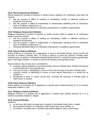## 16.23 Racial Harassment Definition

Racial harassment consists of physical or verbal conduct relating to an individual's race when the conduct:

- a. has the purpose or effect of creating an intimidating, hostile, or offensive working or academic environment
- has the purpose or effect of substantially or unreasonably interfering with an individual's  $b_{-}$ work or academic performance; or
- $\mathsf{C}$ . otherwise adversely affects an individual's employment or academic opportunities.

## **16.24 Religious Harassment Definition**

Religious harassment consists of physical or verbal conduct which is related to an individual's religion when the conduct:

- has the purpose or effect of creating an intimidating, hostile, or offensive working or a. academic environment
- has the purpose or effect of substantially or unreasonably interfering with an individual's b. work or academic performance; or
- otherwise adversely affects an individual's employment or academic opportunities.  $C.$

## **16.25 Sexual Violence Definition**

Sexual violence is a physical act of aggression or force or the threat thereof, which involves the touching of another's intimate parts, or forcing a person to touch any person's intimate parts. Intimate parts, as defined in Minnesota Statutes Section 609.341, include the primary genital area, groin, inner thigh, buttocks, or breast, as well as the clothing covering these areas.

Sexual violence may include, but is not limited to:

- a. touching, patting, grabbing, or pinching another person's intimate parts, whether that person is of the same sex or the opposite sex;
- b. coercing, forcing, or attempting to coerce or force the touching of anyone's intimate parts;
- c. coercing, forcing, or attempting to coerce or force sexual intercourse or a sexual act on another: or
- d. threatening to force or coerce sexual acts, including the touching of intimate parts or intercourse, on another.

#### **16.26 Racial Violence Definition**

Racial violence is a physical act of aggression or assault upon another because of, or in a manner reasonably related to, race.

#### **16.27 Religious Violence Definition**

Religious violence is a physical act of aggression or assault upon another because of, or in a manner reasonably related to, religion.

#### **16.28 Assault Definition**

Assault is

- a. an act done with intent to cause fear in another of immediate bodily harm or death;
- b. the intentional infliction of or attempt to inflict bodily harm upon another; or
- the threat to do bodily harm to another with present ability to carry out the threat.  $C<sub>1</sub>$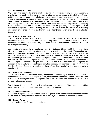## **16.3 Reporting Procedures**

Any person who believes he or she has been the victim of religious, racial, or sexual harassment or violence by a pupil, teacher, administrator, or other school personnel of Zion Lutheran Church and School or any person with knowledge or belief of conduct which may constitute religious, racial or sexual harassment or violence toward a pupil, teacher, administer, or other school personnel should report the alleged acts immediately to an appropriate Zion Lutheran Church and School official designated by this policy. Zion Lutheran Church and School encourages the reporting party or complainant to use the report form available from the principal, but oral reports will be considered complaints as well. Nothing in this policy will prevent any person from reporting harassment or violence directly to the human rights officer (head pastor) or the Board of Christian Education.

## **16.31 Principals Responsibility**

The principal is responsible for receiving oral or written reports of religious, racial, or sexual harassment or violence at the building level. Any adult Zion Lutheran Church and School personnel who receives a report of religious, racial or sexual harassment, or violence will inform the principal immediately.

Upon receipt of a report, the principal must notify Zion Lutheran Church and School human rights officer (head pastor) immediately without screening or investigating the report. The principal may request, but may not insist upon, a written complaint. A written statement of the facts alleged will be forwarded as soon as practicable by the principal to the human rights officer (head pastor). If the report was given verbally, the principal will personally reduce it to written form within 24 hours and forward it to the human rights officer (head pastor). Failure to forward any harassment or violence report or complaint as provided herein will result in disciplinary action against the principal. If the complaint involves the principal, the complaint will be made or filed directly with the Board of Christian Education or the human rights officer (head pastor) by the reporting party or complainant.

#### 16.32 Human Rights Officer

The Board of Christian Education hereby designates a human rights officer (head pastor) to receive reports or complaints of religious, racial, or sexual harassment or violence. If the complaint involves the human rights officer (head pastor) the complaint will be filed directly with the Board of Christian Education chairman.

Zion Lutheran Church and School will conspicuously post the name of the human rights officer (head pastor), including a mailing address and telephone number.

#### 16.33 Submission of Report

Submission of a good faith complaint or report of religious, racial, or sexual harassment or violence will not affect the complainant or reporter's future employment, grades, or work assignments.

#### 16.34 Report Forms

Use of formal reporting forms is not mandatory.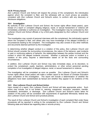### 16.35 Privacy Issues

Zion Lutheran Church and School will respect the privacy of the complainant, the individual(s) against whom the complaint is filed, and the witnesses with as much privacy as possible, consistent with Zion Lutheran Church and School's action, to conform with any discovery or disclosure obligations.

#### 16.4 Investigation

By authority of Zion Lutheran Church and School, the human rights officer (head pastor), upon receipt of a report or complaint alleging religious, racial, or sexual harassment or violence will immediately undertake or authorize an investigation. The investigation may be conducted by Zion Lutheran Church and School officials or by a third party designated by Zion Lutheran Church and School

The investigation may consist of personal interviews with the complainant, the individual(s) against whom the complaint is filed, and others who may have knowledge of the alleged incident(s) or circumstances leading to the complaint. The investigation may also consist of any other methods and documents deemed pertinent by the investigator.

In determining whether alleged conduct is a violation of this policy, Zion Lutheran Church and School should consider the surrounding circumstances, the nature of the behavior, past incidents or past or continuing patterns of behavior, the relationships between the parties involved and the context in which the alleged incidents occurred. Whether a particular action or incident is a violation of this policy requires a determination based on all the facts and surrounding circumstances.

In addition, Zion Lutheran Church and School may take immediate steps, at its discretion, to protect the complainant, pupils, teachers, administrators, or other school personnel pending completion of an investigation of alleged religious, racial, or sexual harassment or violence.

The investigation will be completed as soon as possible. Zion Lutheran Church and School's human rights officer (head pastor) will make a written report to the Board of Christian Education upon completion of the investigation. The report will include a determination of whether the allegations have been substantiated as factual and whether they appear to be violations of this policy.

## 16.5 Zion Lutheran Church and School Action

Upon receipt of a report, Zion Lutheran Church and School will take appropriate action. Such action may include, but is not limited to, warning, suspension, exclusion, expulsion, transfer, remediation, termination, or discharge. Zion Lutheran Church and School's action taken for violation of this policy will be consistent with requirements of applicable Minnesota, federal law, Zion Lutheran Church and School and synodical policies.

The result of Zion Lutheran Church and School's investigation of each complaint filed under these procedures will be reported in writing to the complainant by Zion Lutheran Church and School following state and federal law regarding data or records privacy.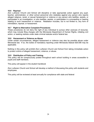## 16.6 Reprisal

Zion Lutheran Church and School will discipline or take appropriate action against any pupil. teacher, administrator, or other school personnel who retaliates against any person who reports alleged religious, racial, or sexual harassment or violence or any person who testifies, assists, or participates in an investigation, or who testifies, assists, or participates in a proceeding or hearing relating to such harassment or violence. Retaliation includes, but is not limited to, any form of intimidation, reprisal, or harassment.

## 16.7 Right to Alternative Complaint Procedures

These procedures do not deny the right of any individual to pursue other avenues of recourse, which may include filing charges with the Minnesota Department of Human Rights, initiating civil action, or seeking redress under state criminal statutes and/or federal law.

## 16.8 Harassment or Violence as Abuse

Under certain circumstances, alleged harassment or violence may also be possible abuse under Minnesota law. If so, the duties of mandatory reporting under Minnesota Statute 626.556 may be applicable.

Nothing in this policy will prohibit Zion Lutheran Church and School from taking immediate action to protect victims of alleged harassment, violence, or abuse.

## 16.9 Distribution of Policy and Training

This policy will be conspicuously posted throughout each school building in areas accessible to pupils and staff members.

This policy will appear in the student handbook

Zion Lutheran Church and School will develop a method of discussing this policy with students and employees.

This policy will be reviewed at least annually for compliance with state and federal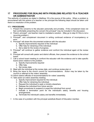#### $17$ **PROCEDURE FOR DEALING WITH PROBLEMS RELATED TO A TEACHER** OR ADMINISTRATOR

The authority of scripture as stated in Matthew 18 is the source of this policy. When a problem is encountered with the actions of a teacher or the principal the following steps should be taken until there is a resolution of the problem.

## **17.1 PROCEDURE:**

- 1. Present the concerns to the educator personally and privately. If the complainant does not feel comfortable presenting the concern the principal\* may be included in the discussion.
- 2. Parent, principal\*, and teacher meet to mediated a solution. (May go to step 6 if this is not a recurring problem.)
- 3. Principal\*, and complainant document in writing continued evidence of incompetency or error
- 4. Principal\* will share this documented evidence with the educator.
	- a. Specify improvements required of the individual
	- b. Offer help for retraining of the individual.
	- c. Set a date for the review of progress.
- 5. Principal\* will continue to gather evidence and confront the individual again at the review date.
- 6. Principal will consult with pastor and district officials, then present the evidence to the school board.
- 7. Call a school board meeting to confront the educator with the evidence and to take specific board action relative to the problem.
	- a. Specify improvements required
	- b. Offer help.
	- c. Set review date.
- 8. Meet with the individual at the review date, and continue review plan or
- 9. Bring the issue to the church council for recommendations. Action may be taken by the council or referred to the voters' assembly.
- 10. Inform district officials of recommendations for voters' assembly.
- 11. Take action at voters assembly meeting.
	- a. Specify improvement required for the individual.
	- b. Offer help for retraining the individual.
	- c. Request the individual to seek a ministry elsewhere.
	- d. Release the individual from future service
	- e. Begin procedures to suspend or expel the individual from synod.
	- f. Indicate a termination point for the individual's salary, benefits and housing arrangements.
	- g. Terminate the individual's salary and benefits immediately.
- In the case of a problem with the principal substitute Board of Education member.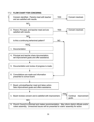## 17.2 FLOW CHART FOR CONCERNS:

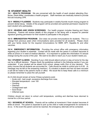# **18 STUDENT HEALTH**

18.1 HEALTH PROGRAM: We are concerned with the health of each student attending Zion. Nurse, Diane Miller, coordinates a health program. Staff members are medically trained to provide first aid including CPR.

**18.11 WEEKLY FLUORIDE:** Students may participate in weekly fluoride mouth rinsing program to prevent dental decay. Details of the program will be provided and parental permission reguired for each student who participates.

18.12 HEARING AND VISION SCREENING: Our health program includes Hearing and Vision Screening. Parents will receive details of this program in fall along with a request for parental signature granting permission for their student to participate in the program.

18.13 IMMUNIZATION PROGRAM: Zion does not provide immunizations for students. This is a change from previous years when immunizations were provided for all students. Please check with your family doctor for the required immunizations for MMR, DPT, Hepatitis B, and other vaccines.

18.14 EMERGENCY INFORMATION: Providing the school office with emergency information regarding your student is essential. Contact will be made with the parent if a student becomes ill while at school or in need of medical attention. It is important to update this information if it should change during the course of the year. We want to be able to reach you if your student needs you.

18.2 STUDENT ILLNESS: Deciding if your child should attend school or stay at home for the day can be a difficult decision. Please check the guidelines outlined in the following section if you are undecided. If your student will be absent from school, please notify Zion of your decision. This policy insures that all students are accounted for. Calls should be made to school prior to 8:30. (A message may be left on the answering machine.) If a student is absent and has not been excused a call will be made to the parent's home or office. We would like to keep these calls to a minimum so please remember to place the call yourself.

An ill child should remain at home if these symptoms exist:

- Acute cold bad cough, excessive discharge from nose.
- Elevated temperature over 100
- Vomiting
- Diarrhea
- Undiagnosed rash
- Sore throat
- Inflamed eyes

Children should not return to school until temperature, vomiting and diarrhea have returned to normal for a 24-hour period.

18.3 SICKNESS AT SCHOOL: Parents will be notified at home/work if their student becomes ill while at school. The parent is expected to pick up the child or make arrangements for someone to do so. In the event the parent cannot be reached, the emergency alternate will be contacted.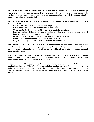18.4 INJURY AT SCHOOL: First aid treatment by a staff member is limited to that of cleansing a wound and covering with a bandage. If a serious injury should occur and you are unable to be reached, your physician will be contacted and his recommendation followed. If necessary, the 911 emergency system will be activated.

18.5 COMMUNICABLE DISEASES: Readmission to school for the following communicable diseases will be:

- Chicken Pox all lesions are dry and crusted (5-7 days).
- Strep Throat at least 24 hours after start of medication.
- Conjunctivitis (pink eye) at least 24 hours after start of medication.
- Impetigo at least 24 hours after start of medication. If no improvement is shown within 48  $\bullet$ hours a physician should reassess the child.
- Lice and Scabies following medical treatment with insecticide or lotion.  $\bullet$
- Hepatitis physician statement required for re-admittance.  $\bullet$  .
- Ringworm of scalp and skin following treatment with fungicide.  $\bullet$

18.6 ADMINISTRATION OF MEDICATION: If administration of medication is required please provide parental permission in writing. Also indicate the name of the medication and instructions for administering. Elementary students will not be allowed to self-administer medication. An adult must administer them.

Prescriptions must be current and properly labeled with child's name, date, name of physician, name of medication, dose and frequency of administration. Ask your pharmacist to divide home/school doses to avoid the need to transport medication.

In accordance with MN Department of Health recommendations the school will NOT provide any medications (including Tylenol). If non-prescription medications e.g. Tylenol, cough syrup or antihistamines need to be given, they can be administered for a maximum of 5 days with written parental permission following above guidelines. After that time orders from a physician will be required.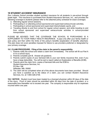# **19 STUDENT ACCIDENT INSURANCE**

Zion Lutheran School provides student accident insurance for all students in pre-school through grade eight. This insurance is purchased from Student Assurance Services, Inc., and provides the following coverage to students (please refer to the attached policy schedule for exact coverage):

- a. Attending regular school sessions,
- b. Participating in or attending school-sponsored and supervised extracurricular activities,
- c. Participating in school-sponsored and supervised interscholastic sports, and
- d. Traveling directly to and from school for regular school session; and while traveling to and from school sponsored and supervised extracurricular activities in school-provided transportation.

PLEASE BE ADVISED THAT THE COVERAGE THE SCHOOL IS PURCHASING IS A SUPPLEMENT TO YOUR FAMILY HEALTH INSURANCE. It pays only after your family health or auto policy and then within the limits of the policy's benefits (explanation of benefits attached). This plan does not cover penalties imposed for failure to use providers preferred or designated by your primary coverage.

## 19.1 CLAIM PROCEDURE: Filing of the claim is the parent's responsibility.

- 1. Parents notify the school and obtain a claim form immediately. The school will fill out Part A if it is a school injury.
- 2. Parents complete part B. Answer all questions.
- 3. Parents submit copies of your itemized bills to your own family insurance first, even if you have a large deductible. You will be sent a report called an Explanation of Benefits (EOB).
- 4. Parents send the claim form, copies of itemized bills and the EOB to: **Student Assurance Services, Inc. PO Box 196** Stillwater, MN 55082
- 5. The claim will be completed when all of the above documents have been provided. Should you have a question as to the status of a claim, you can contact Student Assurance Services, Inc. at 1-800-328-2739.

19.2 NOTICE: Student must have been treated by a licensed physician within 60 days of the date of the injury. Proof of claim should be submitted within 90 days from the date of accident, or a reasonable time thereafter not to exceed one year. The company is responsible only for expenses incurred within one year.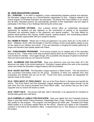## **20 ZION EDUCATION LEAGUE**

20.1 PURPOSE: In an effort to establish a close understanding between parents and teachers, the Education League serves as a Parent/Teacher organization at Zion. Subjects related to the school program of Christian Education are discussed. All parents who have children in our school and all other interested persons are automatically members of this organization and are urged to participate in the three or four meetings held during the school year.

 $20.2$ VOLUNTEER OPTIONS: Zion Lutheran School offers an outstanding educational opportunity for students but also depends on the involvement of parents to be successful. Volunteers are extremely helpful in the classroom and special projects. The help offered by parents assist teachers with copying, bulletin boards, cooking projects, and coordinating projects. Discuss volunteer opportunities with your student's teacher.

20.3 MOMS IN TOUCH: "Where two or three are gathered in my name, there am I in the midst of them." (Matthew 18:20) With this thought in mind the mothers of Zion would gather weekly to pray for the needs of our children and school. If You are interested in bringing this weekly gathering of prayer and devotion back please speak with Pastor.

20.4 FUND-RAISING PROGRAMS: Fund-raising projects are an integral part of the education process at Zion. These extra funds help purchase special items for the classroom, or reduce the cost of tuition for families. Once again though, this is possible only because of parent involvement. Here are some ways that you can become involved.

20.41 ALUMINUM CAN COLLECTION: Save your aluminum cans and drop them off in the aluminum can trailer in the school parking lot. Education League delivers the cans to the recycling center and credits the Education League treasury with the proceeds.

20.42 SILENT AUCTION: The Education League sponsors a Silent Auction. This has become a very successful fund-raising event for the group. Donations of items are collected from area businesses and families and put out for bid. Funds from items purchased are designated for specific needs of the school.

20.43 PIZZA NIGHT AT PIZZA RANCH: Eat out at the Pizza Ranch in Norwood and benefit the school. The Pizza Ranch and Zion Education League designates specific dates through out the year when Zion can receive proceeds from Pizza Ranch sales. Just mention that you are a Zion supporter and our school will receive a credit.

20.44 CRAFT SALE: The annual craft sale, held in November, is an opportunity for members to donate bake goods and craft items.

20.45 CAMPBELLS LABELS FOR EDUCATION: Save your labels from the Campbell products. Keep in mind that certain Franco-American, Pepperidge Farm, Prego, Swanson, and V-8 products also qualify for this program. This program runs throughout the entire year. Proceeds from these labels enable us to purchase needed items for the school. Deposit your labels in the Campbell's container in the hall by Mr. Schlicker's office. A special thank you to Sue Stuewe for coordinating this project.